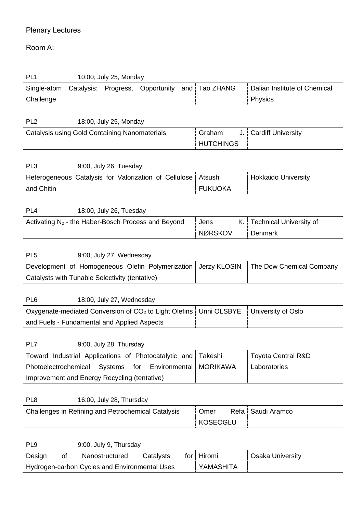## Plenary Lectures

## Room A:

| PL <sub>1</sub><br>10:00, July 25, Monday                         |                     |                                |  |  |
|-------------------------------------------------------------------|---------------------|--------------------------------|--|--|
| Catalysis:<br>Progress,<br>Opportunity<br>Single-atom<br>and      | <b>Tao ZHANG</b>    | Dalian Institute of Chemical   |  |  |
| Challenge                                                         |                     | Physics                        |  |  |
|                                                                   |                     |                                |  |  |
| PL <sub>2</sub><br>18:00, July 25, Monday                         |                     |                                |  |  |
| Catalysis using Gold Containing Nanomaterials                     | Graham<br>J.        | <b>Cardiff University</b>      |  |  |
|                                                                   | <b>HUTCHINGS</b>    |                                |  |  |
|                                                                   |                     |                                |  |  |
| PL <sub>3</sub><br>9:00, July 26, Tuesday                         |                     |                                |  |  |
| Heterogeneous Catalysis for Valorization of Cellulose             | Atsushi             | <b>Hokkaido University</b>     |  |  |
| and Chitin                                                        | <b>FUKUOKA</b>      |                                |  |  |
|                                                                   |                     |                                |  |  |
| PL <sub>4</sub><br>18:00, July 26, Tuesday                        |                     |                                |  |  |
| Activating N <sub>2</sub> - the Haber-Bosch Process and Beyond    | Κ.<br>Jens          | <b>Technical University of</b> |  |  |
|                                                                   | <b>NØRSKOV</b>      | Denmark                        |  |  |
|                                                                   |                     |                                |  |  |
| PL <sub>5</sub><br>9:00, July 27, Wednesday                       |                     |                                |  |  |
| Development of Homogeneous Olefin Polymerization                  | <b>Jerzy KLOSIN</b> | The Dow Chemical Company       |  |  |
| Catalysts with Tunable Selectivity (tentative)                    |                     |                                |  |  |
|                                                                   |                     |                                |  |  |
| PL <sub>6</sub><br>18:00, July 27, Wednesday                      |                     |                                |  |  |
| Oxygenate-mediated Conversion of CO <sub>2</sub> to Light Olefins | Unni OLSBYE         | University of Oslo             |  |  |
| and Fuels - Fundamental and Applied Aspects                       |                     |                                |  |  |
|                                                                   |                     |                                |  |  |
| 9:00, July 28, Thursday<br>PL7                                    |                     |                                |  |  |
| Toward Industrial Applications of Photocatalytic and              | Takeshi             | <b>Toyota Central R&amp;D</b>  |  |  |
| Photoelectrochemical<br>Environmental<br><b>Systems</b><br>for    | <b>MORIKAWA</b>     | Laboratories                   |  |  |
| Improvement and Energy Recycling (tentative)                      |                     |                                |  |  |
|                                                                   |                     |                                |  |  |
| PL <sub>8</sub><br>16:00, July 28, Thursday                       |                     |                                |  |  |
| Challenges in Refining and Petrochemical Catalysis                | Omer<br>Refa        | Saudi Aramco                   |  |  |
|                                                                   | <b>KOSEOGLU</b>     |                                |  |  |
|                                                                   |                     |                                |  |  |
| PL <sub>9</sub><br>9:00, July 9, Thursday                         |                     |                                |  |  |
| of<br>Nanostructured<br>Catalysts<br>Design<br>for                | Hiromi              | <b>Osaka University</b>        |  |  |
| Hydrogen-carbon Cycles and Environmental Uses                     | YAMASHITA           |                                |  |  |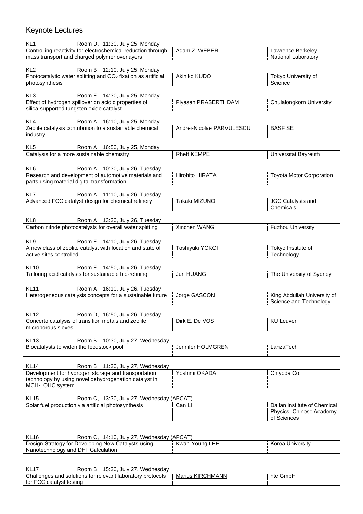## Keynote Lectures

| Room D, 11:30, July 25, Monday<br>KL <sub>1</sub>                                                                                  |                           |                                                          |  |  |
|------------------------------------------------------------------------------------------------------------------------------------|---------------------------|----------------------------------------------------------|--|--|
| Controlling reactivity for electrochemical reduction through<br>mass transport and charged polymer overlayers                      | Adam Z. WEBER             | Lawrence Berkeley<br>National Laboratory                 |  |  |
| KL <sub>2</sub><br>Room B, 12:10, July 25, Monday                                                                                  |                           |                                                          |  |  |
| Photocatalytic water splitting and CO <sub>2</sub> fixation as artificial<br>photosynthesis                                        | Akihiko KUDO              | Tokyo University of<br>Science                           |  |  |
| KL3                                                                                                                                |                           |                                                          |  |  |
| Room E, 14:30, July 25, Monday<br>Effect of hydrogen spillover on acidic properties of<br>silica-supported tungsten oxide catalyst | Piyasan PRASERTHDAM       | Chulalongkorn University                                 |  |  |
|                                                                                                                                    |                           |                                                          |  |  |
| KL4 Room A, 16:10, July 25, Monday<br>Zeolite catalysis contribution to a sustainable chemical<br>industry                         | Andrei-Nicolae PARVULESCU | <b>BASF SE</b>                                           |  |  |
|                                                                                                                                    |                           |                                                          |  |  |
| KL <sub>5</sub><br>Room A, 16:50, July 25, Monday<br>Catalysis for a more sustainable chemistry                                    | <b>Rhett KEMPE</b>        | Universität Bayreuth                                     |  |  |
|                                                                                                                                    |                           |                                                          |  |  |
| KL6<br>Room A, 10:30, July 26, Tuesday<br>Research and development of automotive materials and                                     |                           | <b>Toyota Motor Corporation</b>                          |  |  |
| parts using material digital transformation                                                                                        | <b>Hirohito HIRATA</b>    |                                                          |  |  |
| KL7<br>Room A, 11:10, July 26, Tuesday                                                                                             |                           |                                                          |  |  |
| Advanced FCC catalyst design for chemical refinery                                                                                 | Takaki MIZUNO             | JGC Catalysts and<br>Chemicals                           |  |  |
| KL8<br>Room A, 13:30, July 26, Tuesday                                                                                             |                           |                                                          |  |  |
| Carbon nitride photocatalysts for overall water splitting                                                                          | <b>Xinchen WANG</b>       | <b>Fuzhou University</b>                                 |  |  |
| Room E, 14:10, July 26, Tuesday<br>KL9                                                                                             |                           |                                                          |  |  |
| A new class of zeolite catalyst with location and state of<br>active sites controlled                                              | Toshiyuki YOKOI           | Tokyo Institute of<br>Technology                         |  |  |
|                                                                                                                                    |                           |                                                          |  |  |
| <b>KL10</b><br>Room E, 14:50, July 26, Tuesday<br>Tailoring acid catalysts for sustainable bio-refining                            | Jun HUANG                 | The University of Sydney                                 |  |  |
|                                                                                                                                    |                           |                                                          |  |  |
| KL <sub>11</sub><br>Room A, 16:10, July 26, Tuesday<br>Heterogeneous catalysis concepts for a sustainable future                   | Jorge GASCON              | King Abdullah University of                              |  |  |
|                                                                                                                                    |                           | Science and Technology                                   |  |  |
| KL 12<br>Room D, 16:50, July 26, Tuesday                                                                                           |                           |                                                          |  |  |
| Concerto catalysis of transition metals and zeolite<br>microporous sieves                                                          | Dirk E. De VOS            | <b>KU Leuven</b>                                         |  |  |
| KL <sub>13</sub><br>Room B, 10:30, July 27, Wednesday                                                                              |                           |                                                          |  |  |
| Biocatalysts to widen the feedstock pool                                                                                           | Jennifer HOLMGREN         | LanzaTech                                                |  |  |
| <b>KL14</b><br>Room B, 11:30, July 27, Wednesday                                                                                   |                           |                                                          |  |  |
| Development for hydrogen storage and transportation                                                                                | Yoshimi OKADA             | Chiyoda Co.                                              |  |  |
| technology by using novel dehydrogenation catalyst in<br>MCH-LOHC system                                                           |                           |                                                          |  |  |
| <b>KL15</b><br>Room C, 13:30, July 27, Wednesday (APCAT)                                                                           |                           |                                                          |  |  |
| Solar fuel production via artificial photosynthesis                                                                                | Can LI                    | Dalian Institute of Chemical<br>Physics, Chinese Academy |  |  |
|                                                                                                                                    |                           | of Sciences                                              |  |  |
|                                                                                                                                    |                           |                                                          |  |  |
| <b>KL16</b><br>Room C, 14:10, July 27, Wednesday (APCAT)<br>Design Strategy for Developing New Catalysts using                     | Kwan-Young LEE            | Korea University                                         |  |  |
| Nanotechnology and DFT Calculation                                                                                                 |                           |                                                          |  |  |
|                                                                                                                                    |                           |                                                          |  |  |
| Room B, 15:30, July 27, Wednesday<br>KL <sub>17</sub><br>Challenges and solutions for relevant laboratory protocols                | <b>Marius KIRCHMANN</b>   | hte GmbH                                                 |  |  |
| for FCC catalyst testing                                                                                                           |                           |                                                          |  |  |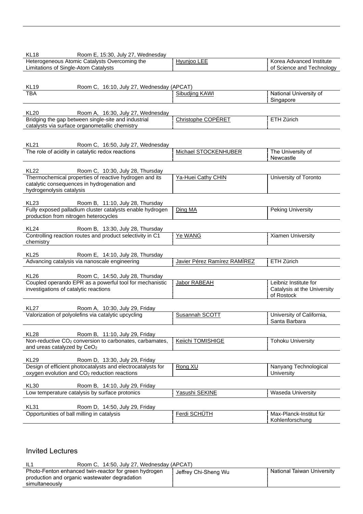| KL <sub>18</sub><br>Room E, 15:30, July 27, Wednesday                                                             |                              |                             |
|-------------------------------------------------------------------------------------------------------------------|------------------------------|-----------------------------|
| Heterogeneous Atomic Catalysts Overcoming the                                                                     | Hyunjoo LEE                  | Korea Advanced Institute    |
| Limitations of Single-Atom Catalysts                                                                              |                              | of Science and Technology   |
|                                                                                                                   |                              |                             |
| KL <sub>19</sub><br>Room C, 16:10, July 27, Wednesday (APCAT)                                                     |                              |                             |
| <b>TBA</b>                                                                                                        | Sibudjing KAWI               | National University of      |
|                                                                                                                   |                              | Singapore                   |
| <b>KL20</b><br>Room A, 16:30, July 27, Wednesday                                                                  |                              |                             |
| Bridging the gap between single-site and industrial                                                               | Christophe COPÉRET           | ETH Zürich                  |
| catalysts via surface organometallic chemistry                                                                    |                              |                             |
|                                                                                                                   |                              |                             |
| <b>KL21</b><br>Room C, 16:50, July 27, Wednesday                                                                  |                              |                             |
| The role of acidity in catalytic redox reactions                                                                  | Michael STOCKENHUBER         | The University of           |
|                                                                                                                   |                              | Newcastle                   |
| <b>KL22</b><br>Room C, 10:30, July 28, Thursday                                                                   |                              |                             |
| Thermochemical properties of reactive hydrogen and its                                                            | Ya-Huei Cathy CHIN           | University of Toronto       |
| catalytic consequences in hydrogenation and                                                                       |                              |                             |
| hydrogenolysis catalysis                                                                                          |                              |                             |
| KL <sub>23</sub>                                                                                                  |                              |                             |
| Room B, 11:10, July 28, Thursday<br>Fully exposed palladium cluster catalysts enable hydrogen                     | Ding MA                      | <b>Peking University</b>    |
| production from nitrogen heterocycles                                                                             |                              |                             |
|                                                                                                                   |                              |                             |
| KL <sub>24</sub><br>Room B, 13:30, July 28, Thursday<br>Controlling reaction routes and product selectivity in C1 | Ye WANG                      | Xiamen University           |
| chemistry                                                                                                         |                              |                             |
|                                                                                                                   |                              |                             |
| <b>KL25</b><br>Room E, 14:10, July 28, Thursday                                                                   |                              |                             |
| Advancing catalysis via nanoscale engineering                                                                     | Javier Pérez Ramírez RAMÍREZ | ETH Zürich                  |
| KL <sub>26</sub><br>Room C, 14:50, July 28, Thursday                                                              |                              |                             |
| Coupled operando EPR as a powerful tool for mechanistic                                                           | Jabor RABEAH                 | Leibniz Institute for       |
| investigations of catalytic reactions                                                                             |                              | Catalysis at the University |
|                                                                                                                   |                              | of Rostock                  |
| <b>KL27</b><br>Room A, 10:30, July 29, Friday                                                                     |                              |                             |
| Valorization of polyolefins via catalytic upcycling                                                               | Susannah SCOTT               | University of California,   |
|                                                                                                                   |                              | Santa Barbara               |
| <b>KL28</b><br>Room B, 11:10, July 29, Friday                                                                     |                              |                             |
| Non-reductive CO <sub>2</sub> conversion to carbonates, carbamates,                                               | <b>Keiichi TOMISHIGE</b>     | <b>Tohoku University</b>    |
| and ureas catalyzed by CeO <sub>2</sub>                                                                           |                              |                             |
|                                                                                                                   |                              |                             |
| <b>KL29</b><br>Room D, 13:30, July 29, Friday<br>Design of efficient photocatalysts and electrocatalysts for      | Rong XU                      | Nanyang Technological       |
| oxygen evolution and CO <sub>2</sub> reduction reactions                                                          |                              | University                  |
|                                                                                                                   |                              |                             |
| <b>KL30</b><br>Room B, 14:10, July 29, Friday                                                                     | Yasushi SEKINE               |                             |
| Low temperature catalysis by surface protonics                                                                    |                              | <b>Waseda University</b>    |
| <b>KL31</b><br>Room D, 14:50, July 29, Friday                                                                     |                              |                             |
| Opportunities of ball milling in catalysis                                                                        | Ferdi SCHÜTH                 | Max-Planck-Institut für     |
|                                                                                                                   |                              | Kohlenforschung             |

## Invited Lectures

| -IL1<br>Room C, 14:50, July 27, Wednesday (APCAT)                                                                        |                      |                            |
|--------------------------------------------------------------------------------------------------------------------------|----------------------|----------------------------|
| Photo-Fenton enhanced twin-reactor for green hydrogen<br>production and organic wastewater degradation<br>simultaneously | Jeffrey Chi-Sheng Wu | National Taiwan University |